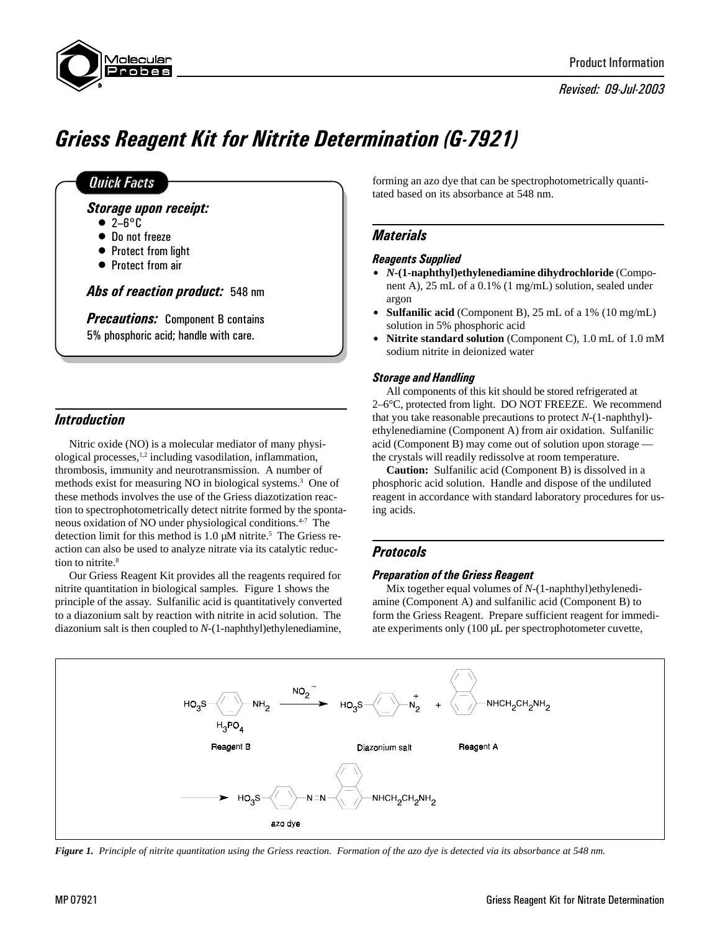

Revised: 09-Jul-2003

# Griess Reagent Kit for Nitrite Determination (G-7921)

## **Quick Facts**

Storage upon receipt:

- $\bullet$  2-6 $\,^{\circ}$ C
- Do not freeze
- Protect from light
- Protect from air

Abs of reaction product: 548 nm

**Precautions:** Component B contains 5% phosphoric acid; handle with care.

## **Introduction**

Nitric oxide (NO) is a molecular mediator of many physiological processes,1,2 including vasodilation, inflammation, thrombosis, immunity and neurotransmission. A number of methods exist for measuring NO in biological systems.3 One of these methods involves the use of the Griess diazotization reaction to spectrophotometrically detect nitrite formed by the spontaneous oxidation of NO under physiological conditions.4-7 The detection limit for this method is  $1.0 \mu M$  nitrite.<sup>5</sup> The Griess reaction can also be used to analyze nitrate via its catalytic reduction to nitrite.<sup>8</sup>

Our Griess Reagent Kit provides all the reagents required for nitrite quantitation in biological samples. Figure 1 shows the principle of the assay. Sulfanilic acid is quantitatively converted to a diazonium salt by reaction with nitrite in acid solution. The diazonium salt is then coupled to *N*-(1-naphthyl)ethylenediamine,

forming an azo dye that can be spectrophotometrically quantitated based on its absorbance at 548 nm.

# **Materials**

#### Reagents Supplied

- \$ *N***-(1-naphthyl)ethylenediamine dihydrochloride** (Component A), 25 mL of a 0.1% (1 mg/mL) solution, sealed under argon
- **Sulfanilic acid** (Component B), 25 mL of a 1% (10 mg/mL) solution in 5% phosphoric acid
- **Nitrite standard solution** (Component C), 1.0 mL of 1.0 mM sodium nitrite in deionized water

#### Storage and Handling

All components of this kit should be stored refrigerated at 2–6°C, protected from light. DO NOT FREEZE. We recommend that you take reasonable precautions to protect *N*-(1-naphthyl) ethylenediamine (Component A) from air oxidation. Sulfanilic acid (Component B) may come out of solution upon storage the crystals will readily redissolve at room temperature.

**Caution:** Sulfanilic acid (Component B) is dissolved in a phosphoric acid solution. Handle and dispose of the undiluted reagent in accordance with standard laboratory procedures for using acids.

## Protocols

#### Preparation of the Griess Reagent

Mix together equal volumes of *N*-(1-naphthyl)ethylenediamine (Component A) and sulfanilic acid (Component B) to form the Griess Reagent. Prepare sufficient reagent for immediate experiments only (100 µL per spectrophotometer cuvette,



*Figure 1. Principle of nitrite quantitation using the Griess reaction. Formation of the azo dye is detected via its absorbance at 548 nm.*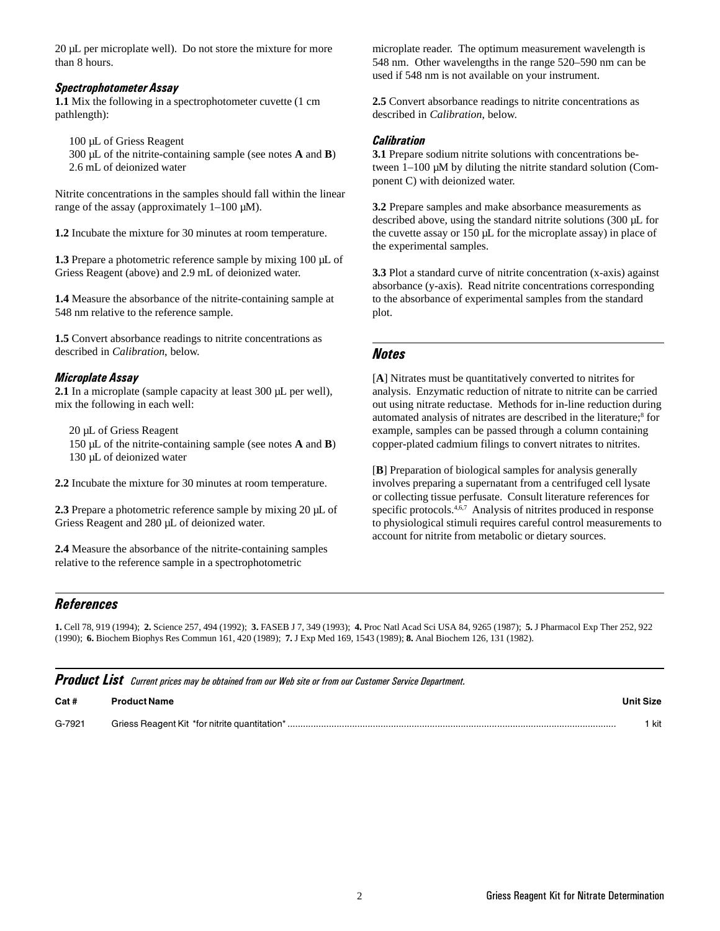20 µL per microplate well). Do not store the mixture for more than 8 hours.

#### Spectrophotometer Assay

**1.1** Mix the following in a spectrophotometer cuvette (1 cm pathlength):

100 µL of Griess Reagent

300 µL of the nitrite-containing sample (see notes **A** and **B**) 2.6 mL of deionized water

Nitrite concentrations in the samples should fall within the linear range of the assay (approximately  $1-100 \mu M$ ).

**1.2** Incubate the mixture for 30 minutes at room temperature.

1.3 Prepare a photometric reference sample by mixing 100  $\mu$ L of Griess Reagent (above) and 2.9 mL of deionized water.

**1.4** Measure the absorbance of the nitrite-containing sample at 548 nm relative to the reference sample.

**1.5** Convert absorbance readings to nitrite concentrations as described in *Calibration*, below.

#### Microplate Assay

**2.1** In a microplate (sample capacity at least 300 µL per well), mix the following in each well:

20 µL of Griess Reagent 150 µL of the nitrite-containing sample (see notes **A** and **B**) 130 µL of deionized water

**2.2** Incubate the mixture for 30 minutes at room temperature.

**2.3** Prepare a photometric reference sample by mixing 20 µL of Griess Reagent and 280 µL of deionized water.

**2.4** Measure the absorbance of the nitrite-containing samples relative to the reference sample in a spectrophotometric

microplate reader. The optimum measurement wavelength is 548 nm. Other wavelengths in the range 520–590 nm can be used if 548 nm is not available on your instrument.

**2.5** Convert absorbance readings to nitrite concentrations as described in *Calibration*, below.

#### **Calibration**

**3.1** Prepare sodium nitrite solutions with concentrations between 1–100 µM by diluting the nitrite standard solution (Component C) with deionized water.

**3.2** Prepare samples and make absorbance measurements as described above, using the standard nitrite solutions (300 µL for the cuvette assay or 150 µL for the microplate assay) in place of the experimental samples.

**3.3** Plot a standard curve of nitrite concentration (x-axis) against absorbance (y-axis). Read nitrite concentrations corresponding to the absorbance of experimental samples from the standard plot.

# Notes

[**A**] Nitrates must be quantitatively converted to nitrites for analysis. Enzymatic reduction of nitrate to nitrite can be carried out using nitrate reductase. Methods for in-line reduction during automated analysis of nitrates are described in the literature;<sup>8</sup> for example, samples can be passed through a column containing copper-plated cadmium filings to convert nitrates to nitrites.

[**B**] Preparation of biological samples for analysis generally involves preparing a supernatant from a centrifuged cell lysate or collecting tissue perfusate. Consult literature references for specific protocols.<sup>4,6,7</sup> Analysis of nitrites produced in response to physiological stimuli requires careful control measurements to account for nitrite from metabolic or dietary sources.

## **References**

**1.** Cell 78, 919 (1994); **2.** Science 257, 494 (1992); **3.** FASEB J 7, 349 (1993); **4.** Proc Natl Acad Sci USA 84, 9265 (1987); **5.** J Pharmacol Exp Ther 252, 922 (1990); **6.** Biochem Biophys Res Commun 161, 420 (1989); **7.** J Exp Med 169, 1543 (1989); **8.** Anal Biochem 126, 131 (1982).

| <b>Product List</b> Current prices may be obtained from our Web site or from our Customer Service Department. |                     |                  |
|---------------------------------------------------------------------------------------------------------------|---------------------|------------------|
| Cat#                                                                                                          | <b>Product Name</b> | <b>Unit Size</b> |
| G-7921                                                                                                        |                     | kit              |